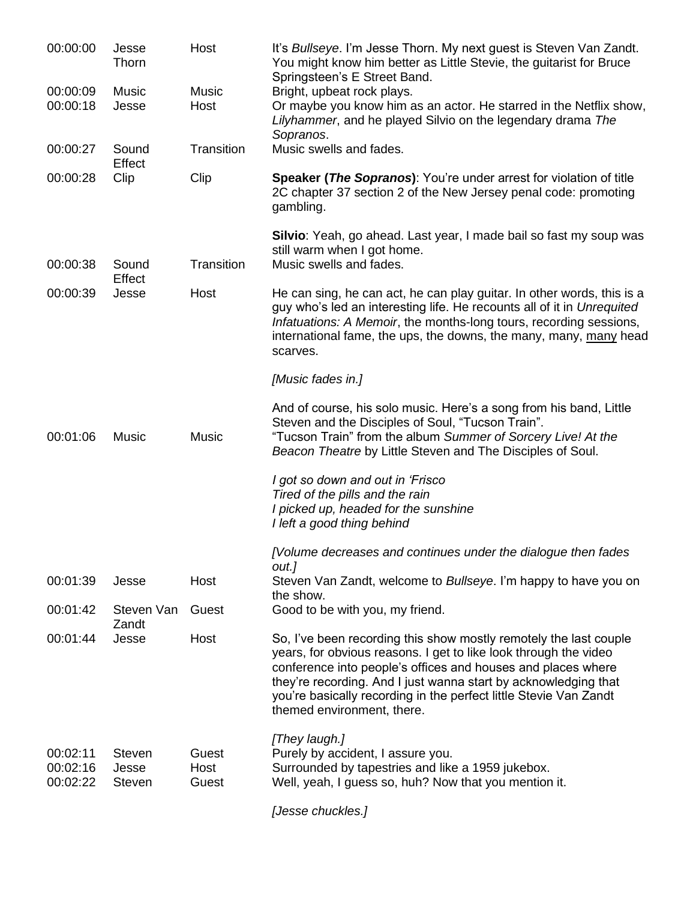| 00:00:00             | Jesse<br>Thorn         | Host          | It's Bullseye. I'm Jesse Thorn. My next guest is Steven Van Zandt.<br>You might know him better as Little Stevie, the guitarist for Bruce<br>Springsteen's E Street Band.                                                                                                                                                                                                   |
|----------------------|------------------------|---------------|-----------------------------------------------------------------------------------------------------------------------------------------------------------------------------------------------------------------------------------------------------------------------------------------------------------------------------------------------------------------------------|
| 00:00:09             | Music                  | Music         | Bright, upbeat rock plays.                                                                                                                                                                                                                                                                                                                                                  |
| 00:00:18             | Jesse                  | Host          | Or maybe you know him as an actor. He starred in the Netflix show,<br>Lilyhammer, and he played Silvio on the legendary drama The<br>Sopranos.                                                                                                                                                                                                                              |
| 00:00:27             | Sound<br>Effect        | Transition    | Music swells and fades.                                                                                                                                                                                                                                                                                                                                                     |
| 00:00:28             | Clip                   | Clip          | <b>Speaker (The Sopranos):</b> You're under arrest for violation of title<br>2C chapter 37 section 2 of the New Jersey penal code: promoting<br>gambling.                                                                                                                                                                                                                   |
|                      |                        |               | Silvio: Yeah, go ahead. Last year, I made bail so fast my soup was<br>still warm when I got home.                                                                                                                                                                                                                                                                           |
| 00:00:38             | Sound<br>Effect        | Transition    | Music swells and fades.                                                                                                                                                                                                                                                                                                                                                     |
| 00:00:39             | Jesse                  | Host          | He can sing, he can act, he can play guitar. In other words, this is a<br>guy who's led an interesting life. He recounts all of it in Unrequited<br>Infatuations: A Memoir, the months-long tours, recording sessions,<br>international fame, the ups, the downs, the many, many, many head<br>scarves.                                                                     |
|                      |                        |               | [Music fades in.]                                                                                                                                                                                                                                                                                                                                                           |
| 00:01:06             | Music                  | Music         | And of course, his solo music. Here's a song from his band, Little<br>Steven and the Disciples of Soul, "Tucson Train".<br>"Tucson Train" from the album Summer of Sorcery Live! At the<br>Beacon Theatre by Little Steven and The Disciples of Soul.                                                                                                                       |
|                      |                        |               | I got so down and out in 'Frisco                                                                                                                                                                                                                                                                                                                                            |
|                      |                        |               | Tired of the pills and the rain                                                                                                                                                                                                                                                                                                                                             |
|                      |                        |               | I picked up, headed for the sunshine<br>I left a good thing behind                                                                                                                                                                                                                                                                                                          |
|                      |                        |               | [Volume decreases and continues under the dialogue then fades<br>out.]                                                                                                                                                                                                                                                                                                      |
| 00:01:39             | Jesse                  | Host          | Steven Van Zandt, welcome to Bullseye. I'm happy to have you on<br>the show.                                                                                                                                                                                                                                                                                                |
| 00:01:42             | Steven Van<br>Zandt    | Guest         | Good to be with you, my friend.                                                                                                                                                                                                                                                                                                                                             |
| 00:01:44             | Jesse                  | Host          | So, I've been recording this show mostly remotely the last couple<br>years, for obvious reasons. I get to like look through the video<br>conference into people's offices and houses and places where<br>they're recording. And I just wanna start by acknowledging that<br>you're basically recording in the perfect little Stevie Van Zandt<br>themed environment, there. |
|                      |                        |               | [They laugh.]                                                                                                                                                                                                                                                                                                                                                               |
| 00:02:11<br>00:02:16 | <b>Steven</b><br>Jesse | Guest<br>Host | Purely by accident, I assure you.<br>Surrounded by tapestries and like a 1959 jukebox.                                                                                                                                                                                                                                                                                      |
| 00:02:22             | <b>Steven</b>          | Guest         | Well, yeah, I guess so, huh? Now that you mention it.                                                                                                                                                                                                                                                                                                                       |
|                      |                        |               | [Jesse chuckles.]                                                                                                                                                                                                                                                                                                                                                           |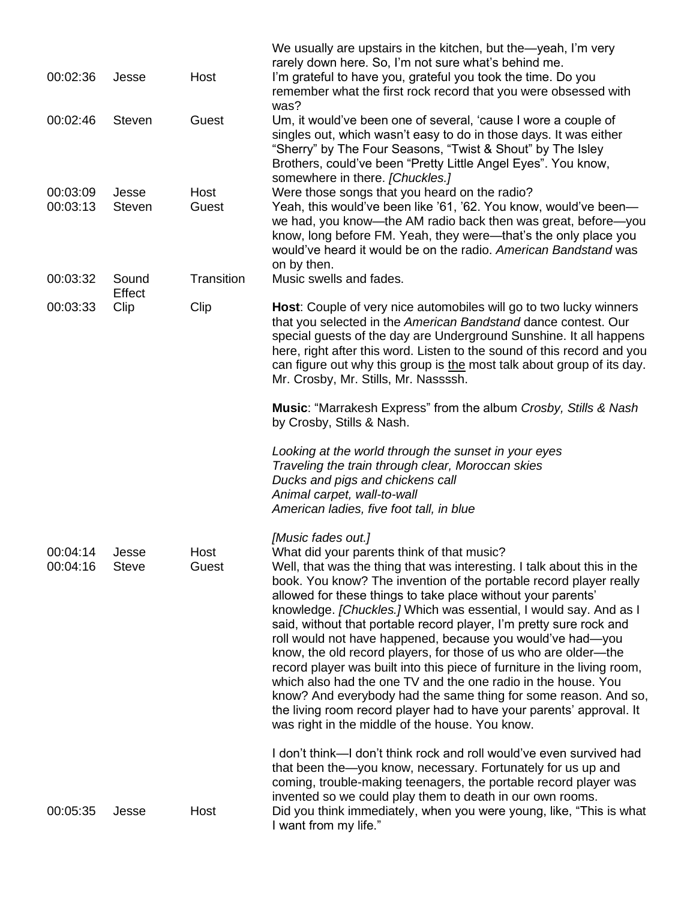| 00:02:36             | Jesse                  | Host          | We usually are upstairs in the kitchen, but the—yeah, I'm very<br>rarely down here. So, I'm not sure what's behind me.<br>I'm grateful to have you, grateful you took the time. Do you<br>remember what the first rock record that you were obsessed with<br>was?                                                                                                                                                                                                                                                                                                                                                                                                                                                                                                                                                                                                                                         |
|----------------------|------------------------|---------------|-----------------------------------------------------------------------------------------------------------------------------------------------------------------------------------------------------------------------------------------------------------------------------------------------------------------------------------------------------------------------------------------------------------------------------------------------------------------------------------------------------------------------------------------------------------------------------------------------------------------------------------------------------------------------------------------------------------------------------------------------------------------------------------------------------------------------------------------------------------------------------------------------------------|
| 00:02:46             | <b>Steven</b>          | Guest         | Um, it would've been one of several, 'cause I wore a couple of<br>singles out, which wasn't easy to do in those days. It was either<br>"Sherry" by The Four Seasons, "Twist & Shout" by The Isley<br>Brothers, could've been "Pretty Little Angel Eyes". You know,<br>somewhere in there. [Chuckles.]                                                                                                                                                                                                                                                                                                                                                                                                                                                                                                                                                                                                     |
| 00:03:09<br>00:03:13 | Jesse<br><b>Steven</b> | Host<br>Guest | Were those songs that you heard on the radio?<br>Yeah, this would've been like '61, '62. You know, would've been-<br>we had, you know—the AM radio back then was great, before—you<br>know, long before FM. Yeah, they were—that's the only place you<br>would've heard it would be on the radio. American Bandstand was<br>on by then.                                                                                                                                                                                                                                                                                                                                                                                                                                                                                                                                                                   |
| 00:03:32             | Sound<br>Effect        | Transition    | Music swells and fades.                                                                                                                                                                                                                                                                                                                                                                                                                                                                                                                                                                                                                                                                                                                                                                                                                                                                                   |
| 00:03:33             | Clip                   | Clip          | Host: Couple of very nice automobiles will go to two lucky winners<br>that you selected in the American Bandstand dance contest. Our<br>special guests of the day are Underground Sunshine. It all happens<br>here, right after this word. Listen to the sound of this record and you<br>can figure out why this group is the most talk about group of its day.<br>Mr. Crosby, Mr. Stills, Mr. Nassssh.                                                                                                                                                                                                                                                                                                                                                                                                                                                                                                   |
|                      |                        |               | Music: "Marrakesh Express" from the album Crosby, Stills & Nash<br>by Crosby, Stills & Nash.                                                                                                                                                                                                                                                                                                                                                                                                                                                                                                                                                                                                                                                                                                                                                                                                              |
|                      |                        |               | Looking at the world through the sunset in your eyes<br>Traveling the train through clear, Moroccan skies<br>Ducks and pigs and chickens call<br>Animal carpet, wall-to-wall<br>American ladies, five foot tall, in blue                                                                                                                                                                                                                                                                                                                                                                                                                                                                                                                                                                                                                                                                                  |
| 00:04:14<br>00:04:16 | Jesse<br><b>Steve</b>  | Host<br>Guest | [Music fades out.]<br>What did your parents think of that music?<br>Well, that was the thing that was interesting. I talk about this in the<br>book. You know? The invention of the portable record player really<br>allowed for these things to take place without your parents'<br>knowledge. [Chuckles.] Which was essential, I would say. And as I<br>said, without that portable record player, I'm pretty sure rock and<br>roll would not have happened, because you would've had-you<br>know, the old record players, for those of us who are older—the<br>record player was built into this piece of furniture in the living room,<br>which also had the one TV and the one radio in the house. You<br>know? And everybody had the same thing for some reason. And so,<br>the living room record player had to have your parents' approval. It<br>was right in the middle of the house. You know. |
| 00:05:35             | Jesse                  | Host          | I don't think—I don't think rock and roll would've even survived had<br>that been the-you know, necessary. Fortunately for us up and<br>coming, trouble-making teenagers, the portable record player was<br>invented so we could play them to death in our own rooms.<br>Did you think immediately, when you were young, like, "This is what<br>I want from my life."                                                                                                                                                                                                                                                                                                                                                                                                                                                                                                                                     |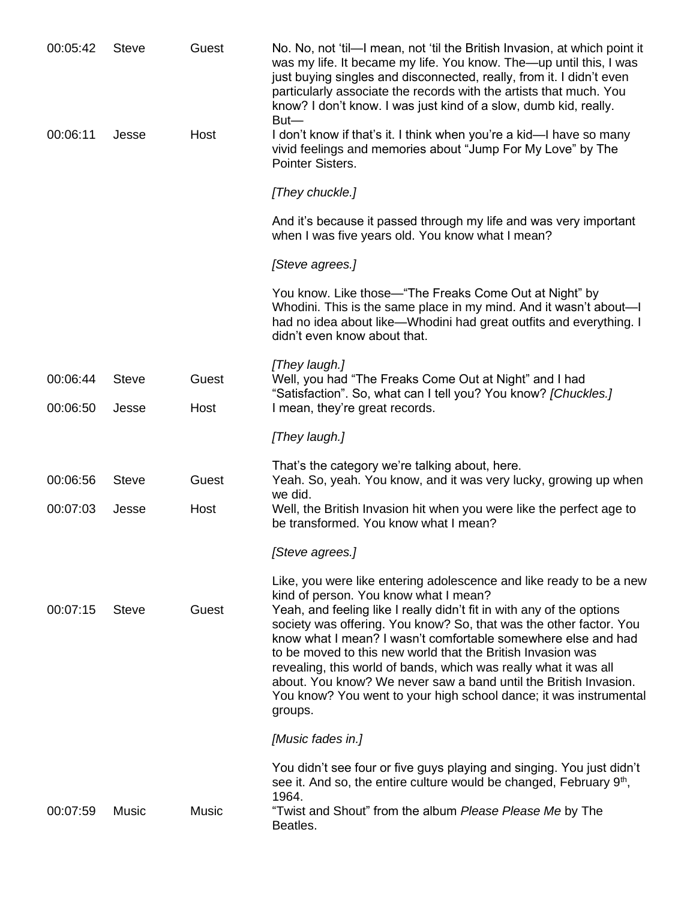| 00:05:42 | <b>Steve</b> | Guest | No. No, not 'til-I mean, not 'til the British Invasion, at which point it<br>was my life. It became my life. You know. The—up until this, I was<br>just buying singles and disconnected, really, from it. I didn't even<br>particularly associate the records with the artists that much. You<br>know? I don't know. I was just kind of a slow, dumb kid, really.<br>$But -$                                                                                                                                                                                                                                        |
|----------|--------------|-------|---------------------------------------------------------------------------------------------------------------------------------------------------------------------------------------------------------------------------------------------------------------------------------------------------------------------------------------------------------------------------------------------------------------------------------------------------------------------------------------------------------------------------------------------------------------------------------------------------------------------|
| 00:06:11 | Jesse        | Host  | I don't know if that's it. I think when you're a kid—I have so many<br>vivid feelings and memories about "Jump For My Love" by The<br>Pointer Sisters.                                                                                                                                                                                                                                                                                                                                                                                                                                                              |
|          |              |       | [They chuckle.]                                                                                                                                                                                                                                                                                                                                                                                                                                                                                                                                                                                                     |
|          |              |       | And it's because it passed through my life and was very important<br>when I was five years old. You know what I mean?                                                                                                                                                                                                                                                                                                                                                                                                                                                                                               |
|          |              |       | [Steve agrees.]                                                                                                                                                                                                                                                                                                                                                                                                                                                                                                                                                                                                     |
|          |              |       | You know. Like those—"The Freaks Come Out at Night" by<br>Whodini. This is the same place in my mind. And it wasn't about-<br>had no idea about like—Whodini had great outfits and everything. I<br>didn't even know about that.                                                                                                                                                                                                                                                                                                                                                                                    |
| 00:06:44 | <b>Steve</b> | Guest | [They laugh.]<br>Well, you had "The Freaks Come Out at Night" and I had                                                                                                                                                                                                                                                                                                                                                                                                                                                                                                                                             |
| 00:06:50 | Jesse        | Host  | "Satisfaction". So, what can I tell you? You know? [Chuckles.]<br>I mean, they're great records.                                                                                                                                                                                                                                                                                                                                                                                                                                                                                                                    |
|          |              |       | [They laugh.]                                                                                                                                                                                                                                                                                                                                                                                                                                                                                                                                                                                                       |
|          |              |       | That's the category we're talking about, here.                                                                                                                                                                                                                                                                                                                                                                                                                                                                                                                                                                      |
| 00:06:56 | <b>Steve</b> | Guest | Yeah. So, yeah. You know, and it was very lucky, growing up when<br>we did.                                                                                                                                                                                                                                                                                                                                                                                                                                                                                                                                         |
| 00:07:03 | Jesse        | Host  | Well, the British Invasion hit when you were like the perfect age to<br>be transformed. You know what I mean?                                                                                                                                                                                                                                                                                                                                                                                                                                                                                                       |
|          |              |       | [Steve agrees.]                                                                                                                                                                                                                                                                                                                                                                                                                                                                                                                                                                                                     |
| 00:07:15 | <b>Steve</b> | Guest | Like, you were like entering adolescence and like ready to be a new<br>kind of person. You know what I mean?<br>Yeah, and feeling like I really didn't fit in with any of the options<br>society was offering. You know? So, that was the other factor. You<br>know what I mean? I wasn't comfortable somewhere else and had<br>to be moved to this new world that the British Invasion was<br>revealing, this world of bands, which was really what it was all<br>about. You know? We never saw a band until the British Invasion.<br>You know? You went to your high school dance; it was instrumental<br>groups. |
|          |              |       | [Music fades in.]                                                                                                                                                                                                                                                                                                                                                                                                                                                                                                                                                                                                   |
| 00:07:59 | Music        | Music | You didn't see four or five guys playing and singing. You just didn't<br>see it. And so, the entire culture would be changed, February 9th,<br>1964.<br>"Twist and Shout" from the album Please Please Me by The                                                                                                                                                                                                                                                                                                                                                                                                    |
|          |              |       | Beatles.                                                                                                                                                                                                                                                                                                                                                                                                                                                                                                                                                                                                            |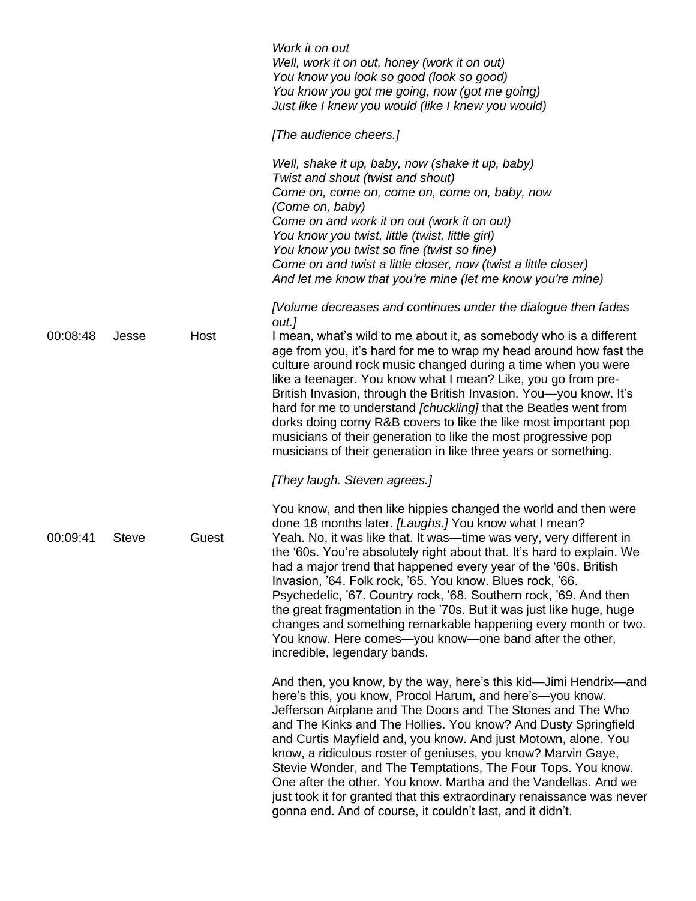|          |              |       | Work it on out<br>Well, work it on out, honey (work it on out)<br>You know you look so good (look so good)<br>You know you got me going, now (got me going)<br>Just like I knew you would (like I knew you would)                                                                                                                                                                                                                                                                                                                                                                                                                                                                                                   |
|----------|--------------|-------|---------------------------------------------------------------------------------------------------------------------------------------------------------------------------------------------------------------------------------------------------------------------------------------------------------------------------------------------------------------------------------------------------------------------------------------------------------------------------------------------------------------------------------------------------------------------------------------------------------------------------------------------------------------------------------------------------------------------|
|          |              |       | [The audience cheers.]                                                                                                                                                                                                                                                                                                                                                                                                                                                                                                                                                                                                                                                                                              |
|          |              |       | Well, shake it up, baby, now (shake it up, baby)<br>Twist and shout (twist and shout)<br>Come on, come on, come on, come on, baby, now<br>(Come on, baby)<br>Come on and work it on out (work it on out)<br>You know you twist, little (twist, little girl)<br>You know you twist so fine (twist so fine)<br>Come on and twist a little closer, now (twist a little closer)<br>And let me know that you're mine (let me know you're mine)                                                                                                                                                                                                                                                                           |
| 00:08:48 | Jesse        | Host  | [Volume decreases and continues under the dialogue then fades<br>out.]<br>I mean, what's wild to me about it, as somebody who is a different<br>age from you, it's hard for me to wrap my head around how fast the<br>culture around rock music changed during a time when you were<br>like a teenager. You know what I mean? Like, you go from pre-<br>British Invasion, through the British Invasion. You-you know. It's<br>hard for me to understand [chuckling] that the Beatles went from<br>dorks doing corny R&B covers to like the like most important pop<br>musicians of their generation to like the most progressive pop<br>musicians of their generation in like three years or something.             |
|          |              |       | [They laugh. Steven agrees.]                                                                                                                                                                                                                                                                                                                                                                                                                                                                                                                                                                                                                                                                                        |
| 00:09:41 | <b>Steve</b> | Guest | You know, and then like hippies changed the world and then were<br>done 18 months later. [Laughs.] You know what I mean?<br>Yeah. No, it was like that. It was—time was very, very different in<br>the '60s. You're absolutely right about that. It's hard to explain. We<br>had a major trend that happened every year of the '60s. British<br>Invasion, '64. Folk rock, '65. You know. Blues rock, '66.<br>Psychedelic, '67. Country rock, '68. Southern rock, '69. And then<br>the great fragmentation in the '70s. But it was just like huge, huge<br>changes and something remarkable happening every month or two.<br>You know. Here comes-you know-one band after the other,<br>incredible, legendary bands. |
|          |              |       | And then, you know, by the way, here's this kid—Jimi Hendrix—and<br>here's this, you know, Procol Harum, and here's—you know.<br>Jefferson Airplane and The Doors and The Stones and The Who<br>and The Kinks and The Hollies. You know? And Dusty Springfield<br>and Curtis Mayfield and, you know. And just Motown, alone. You<br>know, a ridiculous roster of geniuses, you know? Marvin Gaye,<br>Stevie Wonder, and The Temptations, The Four Tops. You know.<br>One after the other. You know. Martha and the Vandellas. And we<br>just took it for granted that this extraordinary renaissance was never<br>gonna end. And of course, it couldn't last, and it didn't.                                        |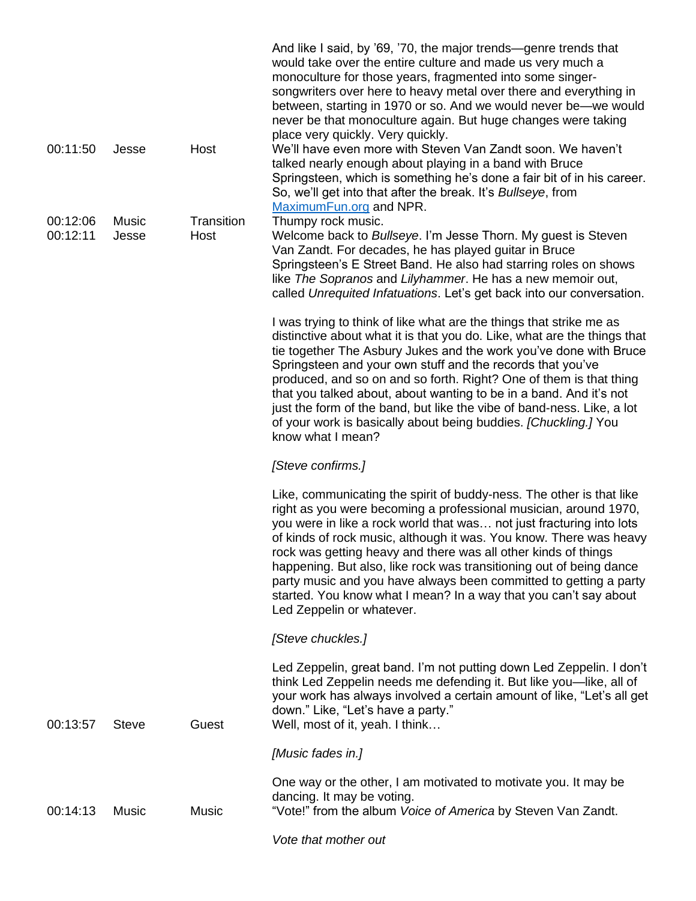|                      |                |                    | And like I said, by '69, '70, the major trends—genre trends that<br>would take over the entire culture and made us very much a<br>monoculture for those years, fragmented into some singer-<br>songwriters over here to heavy metal over there and everything in<br>between, starting in 1970 or so. And we would never be—we would<br>never be that monoculture again. But huge changes were taking<br>place very quickly. Very quickly.                                                                                                                                                             |
|----------------------|----------------|--------------------|-------------------------------------------------------------------------------------------------------------------------------------------------------------------------------------------------------------------------------------------------------------------------------------------------------------------------------------------------------------------------------------------------------------------------------------------------------------------------------------------------------------------------------------------------------------------------------------------------------|
| 00:11:50             | Jesse          | Host               | We'll have even more with Steven Van Zandt soon. We haven't<br>talked nearly enough about playing in a band with Bruce<br>Springsteen, which is something he's done a fair bit of in his career.<br>So, we'll get into that after the break. It's Bullseye, from<br>MaximumFun.org and NPR.                                                                                                                                                                                                                                                                                                           |
| 00:12:06<br>00:12:11 | Music<br>Jesse | Transition<br>Host | Thumpy rock music.<br>Welcome back to Bullseye. I'm Jesse Thorn. My guest is Steven<br>Van Zandt. For decades, he has played guitar in Bruce<br>Springsteen's E Street Band. He also had starring roles on shows<br>like The Sopranos and Lilyhammer. He has a new memoir out,                                                                                                                                                                                                                                                                                                                        |
|                      |                |                    | called Unrequited Infatuations. Let's get back into our conversation.                                                                                                                                                                                                                                                                                                                                                                                                                                                                                                                                 |
|                      |                |                    | I was trying to think of like what are the things that strike me as<br>distinctive about what it is that you do. Like, what are the things that<br>tie together The Asbury Jukes and the work you've done with Bruce<br>Springsteen and your own stuff and the records that you've<br>produced, and so on and so forth. Right? One of them is that thing<br>that you talked about, about wanting to be in a band. And it's not<br>just the form of the band, but like the vibe of band-ness. Like, a lot<br>of your work is basically about being buddies. [Chuckling.] You<br>know what I mean?      |
|                      |                |                    | [Steve confirms.]                                                                                                                                                                                                                                                                                                                                                                                                                                                                                                                                                                                     |
|                      |                |                    | Like, communicating the spirit of buddy-ness. The other is that like<br>right as you were becoming a professional musician, around 1970,<br>you were in like a rock world that was not just fracturing into lots<br>of kinds of rock music, although it was. You know. There was heavy<br>rock was getting heavy and there was all other kinds of things<br>happening. But also, like rock was transitioning out of being dance<br>party music and you have always been committed to getting a party<br>started. You know what I mean? In a way that you can't say about<br>Led Zeppelin or whatever. |
|                      |                |                    | [Steve chuckles.]                                                                                                                                                                                                                                                                                                                                                                                                                                                                                                                                                                                     |
| 00:13:57             | <b>Steve</b>   | Guest              | Led Zeppelin, great band. I'm not putting down Led Zeppelin. I don't<br>think Led Zeppelin needs me defending it. But like you—like, all of<br>your work has always involved a certain amount of like, "Let's all get<br>down." Like, "Let's have a party."<br>Well, most of it, yeah. I think                                                                                                                                                                                                                                                                                                        |
|                      |                |                    | [Music fades in.]                                                                                                                                                                                                                                                                                                                                                                                                                                                                                                                                                                                     |
| 00:14:13             | Music          | Music              | One way or the other, I am motivated to motivate you. It may be<br>dancing. It may be voting.<br>"Vote!" from the album Voice of America by Steven Van Zandt.                                                                                                                                                                                                                                                                                                                                                                                                                                         |
|                      |                |                    | Vote that mother out                                                                                                                                                                                                                                                                                                                                                                                                                                                                                                                                                                                  |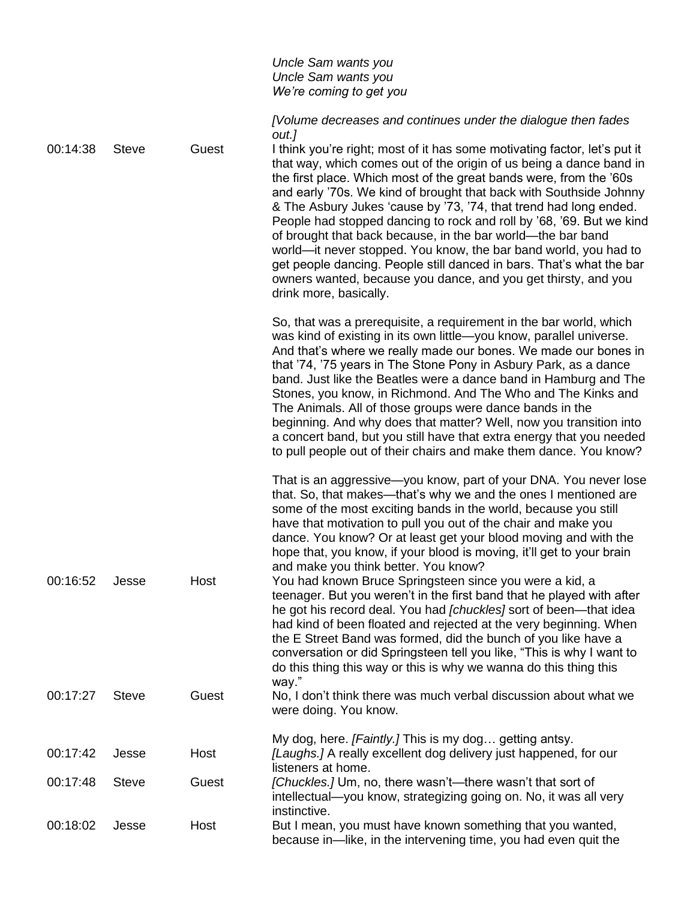|          |              |       | Uncle Sam wants you<br>Uncle Sam wants you<br>We're coming to get you                                                                                                                                                                                                                                                                                                                                                                                                                                                                                                                                                                                                                                                                                                                                                                                                                                                                                      |
|----------|--------------|-------|------------------------------------------------------------------------------------------------------------------------------------------------------------------------------------------------------------------------------------------------------------------------------------------------------------------------------------------------------------------------------------------------------------------------------------------------------------------------------------------------------------------------------------------------------------------------------------------------------------------------------------------------------------------------------------------------------------------------------------------------------------------------------------------------------------------------------------------------------------------------------------------------------------------------------------------------------------|
|          |              |       | [Volume decreases and continues under the dialogue then fades                                                                                                                                                                                                                                                                                                                                                                                                                                                                                                                                                                                                                                                                                                                                                                                                                                                                                              |
| 00:14:38 | <b>Steve</b> | Guest | out.]<br>I think you're right; most of it has some motivating factor, let's put it<br>that way, which comes out of the origin of us being a dance band in<br>the first place. Which most of the great bands were, from the '60s<br>and early '70s. We kind of brought that back with Southside Johnny<br>& The Asbury Jukes 'cause by '73, '74, that trend had long ended.<br>People had stopped dancing to rock and roll by '68, '69. But we kind<br>of brought that back because, in the bar world—the bar band<br>world—it never stopped. You know, the bar band world, you had to<br>get people dancing. People still danced in bars. That's what the bar<br>owners wanted, because you dance, and you get thirsty, and you<br>drink more, basically.                                                                                                                                                                                                  |
|          |              |       | So, that was a prerequisite, a requirement in the bar world, which<br>was kind of existing in its own little-you know, parallel universe.<br>And that's where we really made our bones. We made our bones in<br>that '74, '75 years in The Stone Pony in Asbury Park, as a dance<br>band. Just like the Beatles were a dance band in Hamburg and The<br>Stones, you know, in Richmond. And The Who and The Kinks and<br>The Animals. All of those groups were dance bands in the<br>beginning. And why does that matter? Well, now you transition into<br>a concert band, but you still have that extra energy that you needed<br>to pull people out of their chairs and make them dance. You know?                                                                                                                                                                                                                                                        |
| 00:16:52 | Jesse        | Host  | That is an aggressive—you know, part of your DNA. You never lose<br>that. So, that makes—that's why we and the ones I mentioned are<br>some of the most exciting bands in the world, because you still<br>have that motivation to pull you out of the chair and make you<br>dance. You know? Or at least get your blood moving and with the<br>hope that, you know, if your blood is moving, it'll get to your brain<br>and make you think better. You know?<br>You had known Bruce Springsteen since you were a kid, a<br>teenager. But you weren't in the first band that he played with after<br>he got his record deal. You had [chuckles] sort of been—that idea<br>had kind of been floated and rejected at the very beginning. When<br>the E Street Band was formed, did the bunch of you like have a<br>conversation or did Springsteen tell you like, "This is why I want to<br>do this thing this way or this is why we wanna do this thing this |
| 00:17:27 | <b>Steve</b> | Guest | way."<br>No, I don't think there was much verbal discussion about what we<br>were doing. You know.                                                                                                                                                                                                                                                                                                                                                                                                                                                                                                                                                                                                                                                                                                                                                                                                                                                         |
| 00:17:42 | Jesse        | Host  | My dog, here. [Faintly.] This is my dog getting antsy.<br>[Laughs.] A really excellent dog delivery just happened, for our<br>listeners at home.                                                                                                                                                                                                                                                                                                                                                                                                                                                                                                                                                                                                                                                                                                                                                                                                           |
| 00:17:48 | <b>Steve</b> | Guest | [Chuckles.] Um, no, there wasn't—there wasn't that sort of<br>intellectual—you know, strategizing going on. No, it was all very<br>instinctive.                                                                                                                                                                                                                                                                                                                                                                                                                                                                                                                                                                                                                                                                                                                                                                                                            |
| 00:18:02 | Jesse        | Host  | But I mean, you must have known something that you wanted,<br>because in—like, in the intervening time, you had even quit the                                                                                                                                                                                                                                                                                                                                                                                                                                                                                                                                                                                                                                                                                                                                                                                                                              |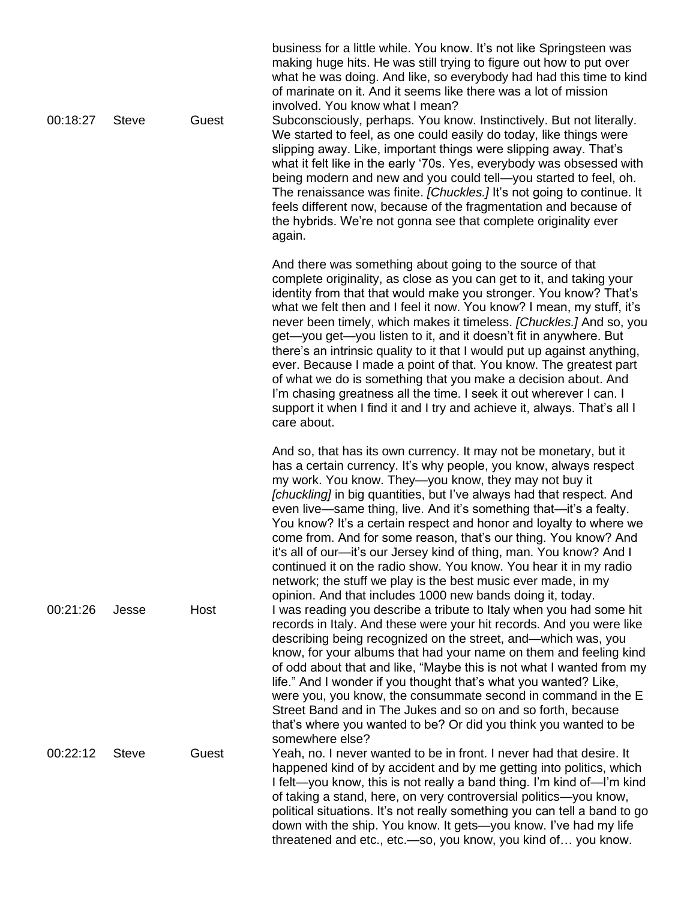|          |              |       | business for a little while. You know. It's not like Springsteen was<br>making huge hits. He was still trying to figure out how to put over<br>what he was doing. And like, so everybody had had this time to kind<br>of marinate on it. And it seems like there was a lot of mission<br>involved. You know what I mean?                                                                                                                                                                                                                                                                                                                                                                                                                                                                                         |
|----------|--------------|-------|------------------------------------------------------------------------------------------------------------------------------------------------------------------------------------------------------------------------------------------------------------------------------------------------------------------------------------------------------------------------------------------------------------------------------------------------------------------------------------------------------------------------------------------------------------------------------------------------------------------------------------------------------------------------------------------------------------------------------------------------------------------------------------------------------------------|
| 00:18:27 | <b>Steve</b> | Guest | Subconsciously, perhaps. You know. Instinctively. But not literally.<br>We started to feel, as one could easily do today, like things were<br>slipping away. Like, important things were slipping away. That's<br>what it felt like in the early '70s. Yes, everybody was obsessed with<br>being modern and new and you could tell-you started to feel, oh.<br>The renaissance was finite. [Chuckles.] It's not going to continue. It<br>feels different now, because of the fragmentation and because of<br>the hybrids. We're not gonna see that complete originality ever<br>again.                                                                                                                                                                                                                           |
|          |              |       | And there was something about going to the source of that<br>complete originality, as close as you can get to it, and taking your<br>identity from that that would make you stronger. You know? That's<br>what we felt then and I feel it now. You know? I mean, my stuff, it's<br>never been timely, which makes it timeless. [Chuckles.] And so, you<br>get—you get—you listen to it, and it doesn't fit in anywhere. But<br>there's an intrinsic quality to it that I would put up against anything,<br>ever. Because I made a point of that. You know. The greatest part<br>of what we do is something that you make a decision about. And<br>I'm chasing greatness all the time. I seek it out wherever I can. I<br>support it when I find it and I try and achieve it, always. That's all I<br>care about. |
|          |              |       | And so, that has its own currency. It may not be monetary, but it<br>has a certain currency. It's why people, you know, always respect<br>my work. You know. They-you know, they may not buy it<br>[chuckling] in big quantities, but I've always had that respect. And<br>even live—same thing, live. And it's something that—it's a fealty.<br>You know? It's a certain respect and honor and loyalty to where we<br>come from. And for some reason, that's our thing. You know? And<br>it's all of our—it's our Jersey kind of thing, man. You know? And I<br>continued it on the radio show. You know. You hear it in my radio<br>network; the stuff we play is the best music ever made, in my<br>opinion. And that includes 1000 new bands doing it, today.                                                |
| 00:21:26 | Jesse        | Host  | I was reading you describe a tribute to Italy when you had some hit<br>records in Italy. And these were your hit records. And you were like<br>describing being recognized on the street, and—which was, you<br>know, for your albums that had your name on them and feeling kind<br>of odd about that and like, "Maybe this is not what I wanted from my<br>life." And I wonder if you thought that's what you wanted? Like,<br>were you, you know, the consummate second in command in the E<br>Street Band and in The Jukes and so on and so forth, because<br>that's where you wanted to be? Or did you think you wanted to be<br>somewhere else?                                                                                                                                                            |
| 00:22:12 | <b>Steve</b> | Guest | Yeah, no. I never wanted to be in front. I never had that desire. It<br>happened kind of by accident and by me getting into politics, which<br>I felt—you know, this is not really a band thing. I'm kind of—I'm kind<br>of taking a stand, here, on very controversial politics—you know,<br>political situations. It's not really something you can tell a band to go<br>down with the ship. You know. It gets-you know. I've had my life<br>threatened and etc., etc.-so, you know, you kind of you know.                                                                                                                                                                                                                                                                                                     |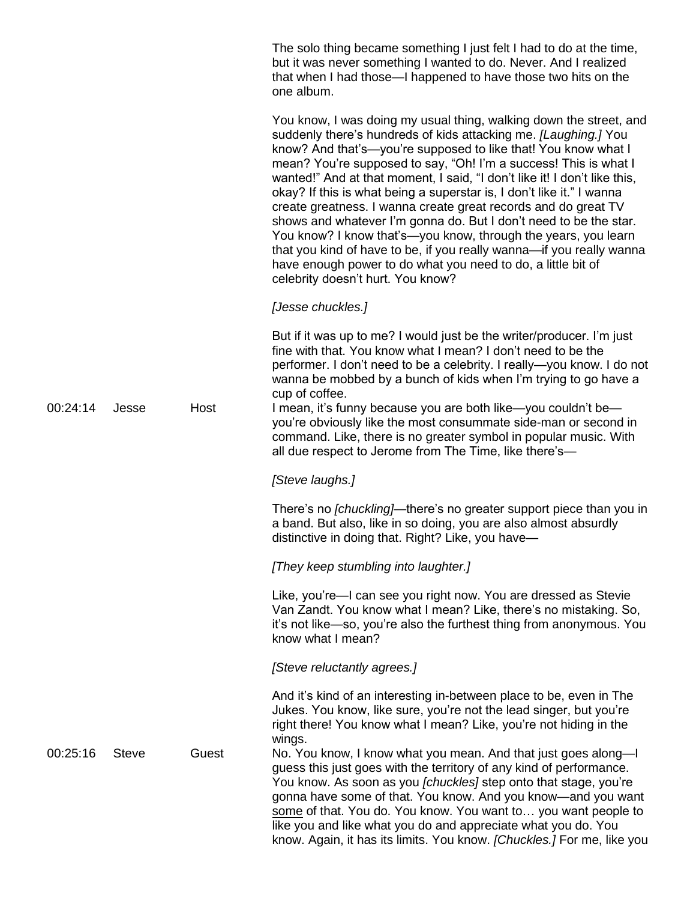The solo thing became something I just felt I had to do at the time, but it was never something I wanted to do. Never. And I realized that when I had those—I happened to have those two hits on the one album.

You know, I was doing my usual thing, walking down the street, and suddenly there's hundreds of kids attacking me. *[Laughing.]* You know? And that's—you're supposed to like that! You know what I mean? You're supposed to say, "Oh! I'm a success! This is what I wanted!" And at that moment, I said, "I don't like it! I don't like this, okay? If this is what being a superstar is, I don't like it." I wanna create greatness. I wanna create great records and do great TV shows and whatever I'm gonna do. But I don't need to be the star. You know? I know that's—you know, through the years, you learn that you kind of have to be, if you really wanna—if you really wanna have enough power to do what you need to do, a little bit of celebrity doesn't hurt. You know?

*[Jesse chuckles.]*

But if it was up to me? I would just be the writer/producer. I'm just fine with that. You know what I mean? I don't need to be the performer. I don't need to be a celebrity. I really—you know. I do not wanna be mobbed by a bunch of kids when I'm trying to go have a cup of coffee.

00:24:14 Jesse Host I mean, it's funny because you are both like—you couldn't be you're obviously like the most consummate side-man or second in command. Like, there is no greater symbol in popular music. With all due respect to Jerome from The Time, like there's—

*[Steve laughs.]*

There's no *[chuckling]*—there's no greater support piece than you in a band. But also, like in so doing, you are also almost absurdly distinctive in doing that. Right? Like, you have—

*[They keep stumbling into laughter.]*

Like, you're—I can see you right now. You are dressed as Stevie Van Zandt. You know what I mean? Like, there's no mistaking. So, it's not like—so, you're also the furthest thing from anonymous. You know what I mean?

*[Steve reluctantly agrees.]*

And it's kind of an interesting in-between place to be, even in The Jukes. You know, like sure, you're not the lead singer, but you're right there! You know what I mean? Like, you're not hiding in the wings.

00:25:16 Steve Guest No. You know, I know what you mean. And that just goes along—I guess this just goes with the territory of any kind of performance. You know. As soon as you *[chuckles]* step onto that stage, you're gonna have some of that. You know. And you know—and you want some of that. You do. You know. You want to… you want people to like you and like what you do and appreciate what you do. You know. Again, it has its limits. You know. *[Chuckles.]* For me, like you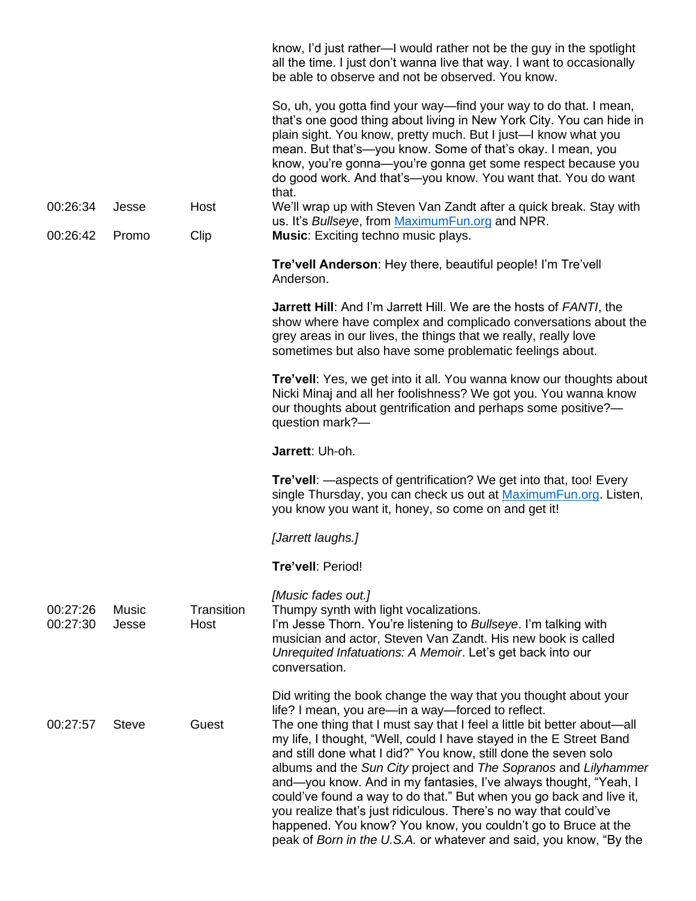|                      |                       |                    | know, I'd just rather—I would rather not be the guy in the spotlight<br>all the time. I just don't wanna live that way. I want to occasionally<br>be able to observe and not be observed. You know.                                                                                                                                                                                                                                                                                                                                                                                                                                                                                                                                                                |
|----------------------|-----------------------|--------------------|--------------------------------------------------------------------------------------------------------------------------------------------------------------------------------------------------------------------------------------------------------------------------------------------------------------------------------------------------------------------------------------------------------------------------------------------------------------------------------------------------------------------------------------------------------------------------------------------------------------------------------------------------------------------------------------------------------------------------------------------------------------------|
|                      |                       |                    | So, uh, you gotta find your way—find your way to do that. I mean,<br>that's one good thing about living in New York City. You can hide in<br>plain sight. You know, pretty much. But I just-I know what you<br>mean. But that's—you know. Some of that's okay. I mean, you<br>know, you're gonna-you're gonna get some respect because you<br>do good work. And that's-you know. You want that. You do want<br>that.                                                                                                                                                                                                                                                                                                                                               |
| 00:26:34             | Jesse                 | Host               | We'll wrap up with Steven Van Zandt after a quick break. Stay with                                                                                                                                                                                                                                                                                                                                                                                                                                                                                                                                                                                                                                                                                                 |
| 00:26:42             | Promo                 | Clip               | us. It's Bullseye, from MaximumFun.org and NPR.<br><b>Music:</b> Exciting techno music plays.                                                                                                                                                                                                                                                                                                                                                                                                                                                                                                                                                                                                                                                                      |
|                      |                       |                    | Tre'vell Anderson: Hey there, beautiful people! I'm Tre'vell<br>Anderson.                                                                                                                                                                                                                                                                                                                                                                                                                                                                                                                                                                                                                                                                                          |
|                      |                       |                    | <b>Jarrett Hill:</b> And I'm Jarrett Hill. We are the hosts of FANTI, the<br>show where have complex and complicado conversations about the<br>grey areas in our lives, the things that we really, really love<br>sometimes but also have some problematic feelings about.                                                                                                                                                                                                                                                                                                                                                                                                                                                                                         |
|                      |                       |                    | Tre'vell: Yes, we get into it all. You wanna know our thoughts about<br>Nicki Minaj and all her foolishness? We got you. You wanna know<br>our thoughts about gentrification and perhaps some positive?-<br>question mark?-                                                                                                                                                                                                                                                                                                                                                                                                                                                                                                                                        |
|                      |                       |                    | Jarrett: Uh-oh.                                                                                                                                                                                                                                                                                                                                                                                                                                                                                                                                                                                                                                                                                                                                                    |
|                      |                       |                    | <b>Tre'vell:</b> —aspects of gentrification? We get into that, too! Every<br>single Thursday, you can check us out at MaximumFun.org. Listen,<br>you know you want it, honey, so come on and get it!                                                                                                                                                                                                                                                                                                                                                                                                                                                                                                                                                               |
|                      |                       |                    | [Jarrett laughs.]                                                                                                                                                                                                                                                                                                                                                                                                                                                                                                                                                                                                                                                                                                                                                  |
|                      |                       |                    | Tre'vell: Period!                                                                                                                                                                                                                                                                                                                                                                                                                                                                                                                                                                                                                                                                                                                                                  |
| 00:27:26<br>00:27:30 | <b>Music</b><br>Jesse | Transition<br>Host | [Music fades out.]<br>Thumpy synth with light vocalizations.<br>I'm Jesse Thorn. You're listening to Bullseye. I'm talking with<br>musician and actor, Steven Van Zandt. His new book is called<br>Unrequited Infatuations: A Memoir. Let's get back into our<br>conversation.                                                                                                                                                                                                                                                                                                                                                                                                                                                                                     |
| 00:27:57             | <b>Steve</b>          | Guest              | Did writing the book change the way that you thought about your<br>life? I mean, you are—in a way—forced to reflect.<br>The one thing that I must say that I feel a little bit better about—all<br>my life, I thought, "Well, could I have stayed in the E Street Band<br>and still done what I did?" You know, still done the seven solo<br>albums and the Sun City project and The Sopranos and Lilyhammer<br>and—you know. And in my fantasies, I've always thought, "Yeah, I<br>could've found a way to do that." But when you go back and live it,<br>you realize that's just ridiculous. There's no way that could've<br>happened. You know? You know, you couldn't go to Bruce at the<br>peak of Born in the U.S.A. or whatever and said, you know, "By the |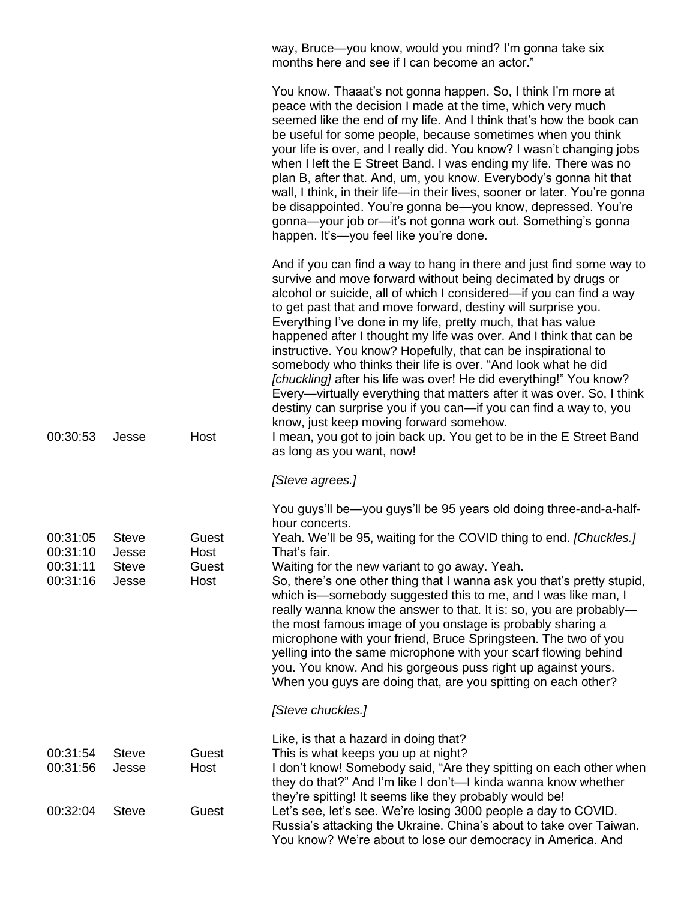way, Bruce—you know, would you mind? I'm gonna take six months here and see if I can become an actor."

You know? We're about to lose our democracy in America. And

|                                              |                                                |                                | You know. Thaaat's not gonna happen. So, I think I'm more at<br>peace with the decision I made at the time, which very much<br>seemed like the end of my life. And I think that's how the book can<br>be useful for some people, because sometimes when you think<br>your life is over, and I really did. You know? I wasn't changing jobs<br>when I left the E Street Band. I was ending my life. There was no<br>plan B, after that. And, um, you know. Everybody's gonna hit that<br>wall, I think, in their life-in their lives, sooner or later. You're gonna<br>be disappointed. You're gonna be-you know, depressed. You're<br>gonna-your job or-it's not gonna work out. Something's gonna<br>happen. It's-you feel like you're done.                                                                                                                                                                             |
|----------------------------------------------|------------------------------------------------|--------------------------------|---------------------------------------------------------------------------------------------------------------------------------------------------------------------------------------------------------------------------------------------------------------------------------------------------------------------------------------------------------------------------------------------------------------------------------------------------------------------------------------------------------------------------------------------------------------------------------------------------------------------------------------------------------------------------------------------------------------------------------------------------------------------------------------------------------------------------------------------------------------------------------------------------------------------------|
| 00:30:53                                     | Jesse                                          | Host                           | And if you can find a way to hang in there and just find some way to<br>survive and move forward without being decimated by drugs or<br>alcohol or suicide, all of which I considered—if you can find a way<br>to get past that and move forward, destiny will surprise you.<br>Everything I've done in my life, pretty much, that has value<br>happened after I thought my life was over. And I think that can be<br>instructive. You know? Hopefully, that can be inspirational to<br>somebody who thinks their life is over. "And look what he did<br>[chuckling] after his life was over! He did everything!" You know?<br>Every—virtually everything that matters after it was over. So, I think<br>destiny can surprise you if you can—if you can find a way to, you<br>know, just keep moving forward somehow.<br>I mean, you got to join back up. You get to be in the E Street Band<br>as long as you want, now! |
|                                              |                                                |                                | [Steve agrees.]                                                                                                                                                                                                                                                                                                                                                                                                                                                                                                                                                                                                                                                                                                                                                                                                                                                                                                           |
| 00:31:05<br>00:31:10<br>00:31:11<br>00:31:16 | <b>Steve</b><br>Jesse<br><b>Steve</b><br>Jesse | Guest<br>Host<br>Guest<br>Host | You guys'll be—you guys'll be 95 years old doing three-and-a-half-<br>hour concerts.<br>Yeah. We'll be 95, waiting for the COVID thing to end. [Chuckles.]<br>That's fair.<br>Waiting for the new variant to go away. Yeah.<br>So, there's one other thing that I wanna ask you that's pretty stupid,<br>which is—somebody suggested this to me, and I was like man, I<br>really wanna know the answer to that. It is: so, you are probably-<br>the most famous image of you onstage is probably sharing a<br>microphone with your friend, Bruce Springsteen. The two of you<br>yelling into the same microphone with your scarf flowing behind<br>you. You know. And his gorgeous puss right up against yours.<br>When you guys are doing that, are you spitting on each other?                                                                                                                                          |
|                                              |                                                |                                | [Steve chuckles.]                                                                                                                                                                                                                                                                                                                                                                                                                                                                                                                                                                                                                                                                                                                                                                                                                                                                                                         |
| 00:31:54<br>00:31:56                         | <b>Steve</b><br>Jesse                          | Guest<br>Host                  | Like, is that a hazard in doing that?<br>This is what keeps you up at night?<br>I don't know! Somebody said, "Are they spitting on each other when<br>they do that?" And I'm like I don't—I kinda wanna know whether<br>they're spitting! It seems like they probably would be!                                                                                                                                                                                                                                                                                                                                                                                                                                                                                                                                                                                                                                           |
| 00:32:04                                     | <b>Steve</b>                                   | Guest                          | Let's see, let's see. We're losing 3000 people a day to COVID.<br>Russia's attacking the Ukraine. China's about to take over Taiwan.                                                                                                                                                                                                                                                                                                                                                                                                                                                                                                                                                                                                                                                                                                                                                                                      |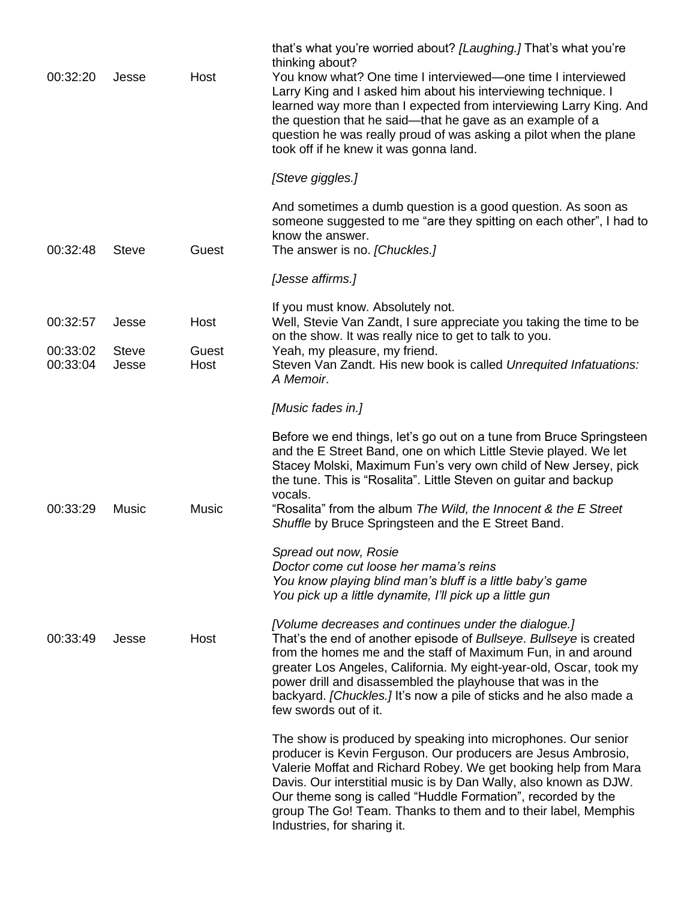| 00:32:20                         | Jesse                          | Host                  | that's what you're worried about? [Laughing.] That's what you're<br>thinking about?<br>You know what? One time I interviewed—one time I interviewed<br>Larry King and I asked him about his interviewing technique. I<br>learned way more than I expected from interviewing Larry King. And<br>the question that he said—that he gave as an example of a<br>question he was really proud of was asking a pilot when the plane<br>took off if he knew it was gonna land. |
|----------------------------------|--------------------------------|-----------------------|-------------------------------------------------------------------------------------------------------------------------------------------------------------------------------------------------------------------------------------------------------------------------------------------------------------------------------------------------------------------------------------------------------------------------------------------------------------------------|
|                                  |                                |                       | [Steve giggles.]                                                                                                                                                                                                                                                                                                                                                                                                                                                        |
| 00:32:48                         | <b>Steve</b>                   | Guest                 | And sometimes a dumb question is a good question. As soon as<br>someone suggested to me "are they spitting on each other", I had to<br>know the answer.<br>The answer is no. [Chuckles.]                                                                                                                                                                                                                                                                                |
|                                  |                                |                       | [Jesse affirms.]                                                                                                                                                                                                                                                                                                                                                                                                                                                        |
| 00:32:57<br>00:33:02<br>00:33:04 | Jesse<br><b>Steve</b><br>Jesse | Host<br>Guest<br>Host | If you must know. Absolutely not.<br>Well, Stevie Van Zandt, I sure appreciate you taking the time to be<br>on the show. It was really nice to get to talk to you.<br>Yeah, my pleasure, my friend.<br>Steven Van Zandt. His new book is called Unrequited Infatuations:                                                                                                                                                                                                |
|                                  |                                |                       | A Memoir.<br>[Music fades in.]                                                                                                                                                                                                                                                                                                                                                                                                                                          |
| 00:33:29                         | Music                          | <b>Music</b>          | Before we end things, let's go out on a tune from Bruce Springsteen<br>and the E Street Band, one on which Little Stevie played. We let<br>Stacey Molski, Maximum Fun's very own child of New Jersey, pick<br>the tune. This is "Rosalita". Little Steven on guitar and backup<br>vocals.<br>"Rosalita" from the album The Wild, the Innocent & the E Street<br>Shuffle by Bruce Springsteen and the E Street Band.                                                     |
|                                  |                                |                       | Spread out now, Rosie<br>Doctor come cut loose her mama's reins<br>You know playing blind man's bluff is a little baby's game<br>You pick up a little dynamite, I'll pick up a little gun                                                                                                                                                                                                                                                                               |
| 00:33:49                         | Jesse                          | Host                  | [Volume decreases and continues under the dialogue.]<br>That's the end of another episode of Bullseye. Bullseye is created<br>from the homes me and the staff of Maximum Fun, in and around<br>greater Los Angeles, California. My eight-year-old, Oscar, took my<br>power drill and disassembled the playhouse that was in the<br>backyard. [Chuckles.] It's now a pile of sticks and he also made a<br>few swords out of it.                                          |
|                                  |                                |                       | The show is produced by speaking into microphones. Our senior<br>producer is Kevin Ferguson. Our producers are Jesus Ambrosio,<br>Valerie Moffat and Richard Robey. We get booking help from Mara<br>Davis. Our interstitial music is by Dan Wally, also known as DJW.<br>Our theme song is called "Huddle Formation", recorded by the<br>group The Go! Team. Thanks to them and to their label, Memphis<br>Industries, for sharing it.                                 |